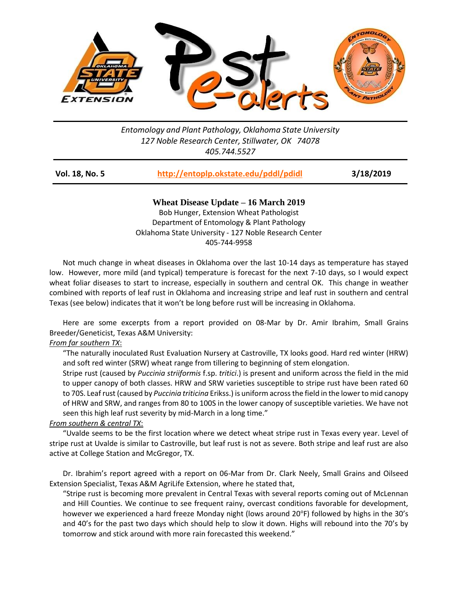

## *Entomology and Plant Pathology, Oklahoma State University 127 Noble Research Center, Stillwater, OK 74078 405.744.5527*

| Vol. 18, No. 5 | http://entoplp.okstate.edu/pddl/pdidl | 3/18/2019 |
|----------------|---------------------------------------|-----------|
|                |                                       |           |

**Wheat Disease Update – 16 March 2019** Bob Hunger, Extension Wheat Pathologist Department of Entomology & Plant Pathology Oklahoma State University - 127 Noble Research Center 405-744-9958

Not much change in wheat diseases in Oklahoma over the last 10-14 days as temperature has stayed low. However, more mild (and typical) temperature is forecast for the next 7-10 days, so I would expect wheat foliar diseases to start to increase, especially in southern and central OK. This change in weather combined with reports of leaf rust in Oklahoma and increasing stripe and leaf rust in southern and central Texas (see below) indicates that it won't be long before rust will be increasing in Oklahoma.

Here are some excerpts from a report provided on 08-Mar by Dr. Amir Ibrahim, Small Grains Breeder/Geneticist, Texas A&M University:

## *From far southern TX*:

"The naturally inoculated Rust Evaluation Nursery at Castroville, TX looks good. Hard red winter (HRW) and soft red winter (SRW) wheat range from tillering to beginning of stem elongation.

Stripe rust (caused by *Puccinia striiformis* f.sp. *tritici*.) is present and uniform across the field in the mid to upper canopy of both classes. HRW and SRW varieties susceptible to stripe rust have been rated 60 to 70S. Leaf rust (caused by *Puccinia triticina* Erikss.) is uniform across the field in the lower to mid canopy of HRW and SRW, and ranges from 80 to 100S in the lower canopy of susceptible varieties. We have not seen this high leaf rust severity by mid-March in a long time."

## *From southern & central TX*:

"Uvalde seems to be the first location where we detect wheat stripe rust in Texas every year. Level of stripe rust at Uvalde is similar to Castroville, but leaf rust is not as severe. Both stripe and leaf rust are also active at College Station and McGregor, TX.

Dr. Ibrahim's report agreed with a report on 06-Mar from Dr. Clark Neely, Small Grains and Oilseed Extension Specialist, Texas A&M AgriLife Extension, where he stated that,

"Stripe rust is becoming more prevalent in Central Texas with several reports coming out of McLennan and Hill Counties. We continue to see frequent rainy, overcast conditions favorable for development, however we experienced a hard freeze Monday night (lows around 20°F) followed by highs in the 30's and 40's for the past two days which should help to slow it down. Highs will rebound into the 70's by tomorrow and stick around with more rain forecasted this weekend."